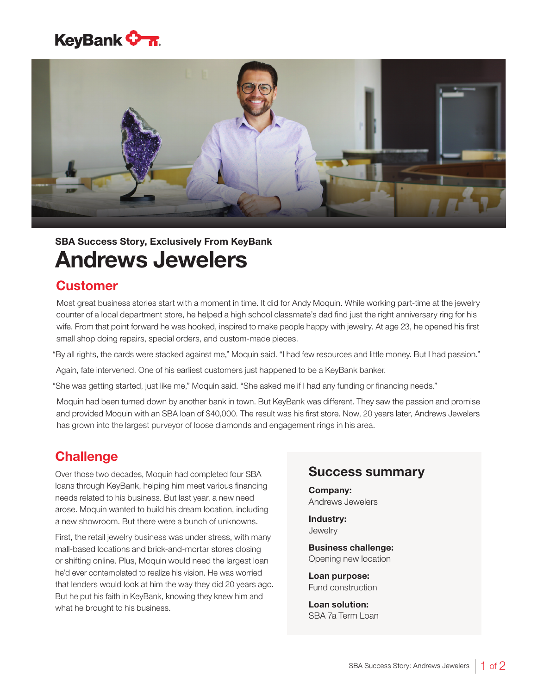



# Andrews Jewelers SBA Success Story, Exclusively From KeyBank

### **Customer**

Most great business stories start with a moment in time. It did for Andy Moquin. While working part-time at the jewelry counter of a local department store, he helped a high school classmate's dad find just the right anniversary ring for his wife. From that point forward he was hooked, inspired to make people happy with jewelry. At age 23, he opened his first small shop doing repairs, special orders, and custom-made pieces.

"By all rights, the cards were stacked against me," Moquin said. "I had few resources and little money. But I had passion."

Again, fate intervened. One of his earliest customers just happened to be a KeyBank banker.

"She was getting started, just like me," Moquin said. "She asked me if I had any funding or financing needs."

Moquin had been turned down by another bank in town. But KeyBank was different. They saw the passion and promise and provided Moquin with an SBA loan of \$40,000. The result was his first store. Now, 20 years later, Andrews Jewelers has grown into the largest purveyor of loose diamonds and engagement rings in his area.

### **Challenge**

Over those two decades, Moquin had completed four SBA loans through KeyBank, helping him meet various financing needs related to his business. But last year, a new need arose. Moquin wanted to build his dream location, including a new showroom. But there were a bunch of unknowns.

First, the retail jewelry business was under stress, with many mall-based locations and brick-and-mortar stores closing or shifting online. Plus, Moquin would need the largest loan he'd ever contemplated to realize his vision. He was worried that lenders would look at him the way they did 20 years ago. But he put his faith in KeyBank, knowing they knew him and what he brought to his business.

#### Success summary

Company: Andrews Jewelers

Industry: **Jewelry** 

Business challenge: Opening new location

Loan purpose: Fund construction

Loan solution: SBA 7a Term Loan